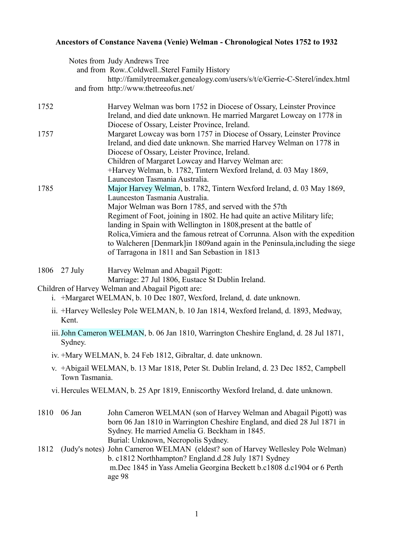## **Ancestors of Constance Navena (Venie) Welman - Chronological Notes 1752 to 1932**

|      |         | Notes from Judy Andrews Tree                                                                                                                  |
|------|---------|-----------------------------------------------------------------------------------------------------------------------------------------------|
|      |         | and from RowColdwellSterel Family History                                                                                                     |
|      |         | http://familytreemaker.genealogy.com/users/s/t/e/Gerrie-C-Sterel/index.html                                                                   |
|      |         | and from http://www.thetreeofus.net/                                                                                                          |
| 1752 |         | Harvey Welman was born 1752 in Diocese of Ossary, Leinster Province                                                                           |
|      |         | Ireland, and died date unknown. He married Margaret Lowcay on 1778 in<br>Diocese of Ossary, Leister Province, Ireland.                        |
| 1757 |         | Margaret Lowcay was born 1757 in Diocese of Ossary, Leinster Province<br>Ireland, and died date unknown. She married Harvey Welman on 1778 in |
|      |         | Diocese of Ossary, Leister Province, Ireland.                                                                                                 |
|      |         | Children of Margaret Lowcay and Harvey Welman are:                                                                                            |
|      |         | +Harvey Welman, b. 1782, Tintern Wexford Ireland, d. 03 May 1869,                                                                             |
|      |         | Launceston Tasmania Australia.                                                                                                                |
| 1785 |         | Major Harvey Welman, b. 1782, Tintern Wexford Ireland, d. 03 May 1869,                                                                        |
|      |         | Launceston Tasmania Australia.                                                                                                                |
|      |         | Major Welman was Born 1785, and served with the 57th                                                                                          |
|      |         | Regiment of Foot, joining in 1802. He had quite an active Military life;                                                                      |
|      |         | landing in Spain with Wellington in 1808, present at the battle of                                                                            |
|      |         | Rolica, Vimiera and the famous retreat of Corrunna. Alson with the expedition                                                                 |
|      |         | to Walcheren [Denmark] in 1809 and again in the Peninsula, including the siege                                                                |
|      |         | of Tarragona in 1811 and San Sebastion in 1813                                                                                                |
| 1806 | 27 July | Harvey Welman and Abagail Pigott:                                                                                                             |

Marriage: 27 Jul 1806, Eustace St Dublin Ireland.

## Children of Harvey Welman and Abagail Pigott are:

- i. +Margaret WELMAN, b. 10 Dec 1807, Wexford, Ireland, d. date unknown.
- ii. +Harvey Wellesley Pole WELMAN, b. 10 Jan 1814, Wexford Ireland, d. 1893, Medway, Kent.
- iii.John Cameron WELMAN, b. 06 Jan 1810, Warrington Cheshire England, d. 28 Jul 1871, Sydney.
- iv. +Mary WELMAN, b. 24 Feb 1812, Gibraltar, d. date unknown.
- v. +Abigail WELMAN, b. 13 Mar 1818, Peter St. Dublin Ireland, d. 23 Dec 1852, Campbell Town Tasmania.
- vi. Hercules WELMAN, b. 25 Apr 1819, Enniscorthy Wexford Ireland, d. date unknown.
- 1810 06 Jan John Cameron WELMAN (son of Harvey Welman and Abagail Pigott) was born 06 Jan 1810 in Warrington Cheshire England, and died 28 Jul 1871 in Sydney. He married Amelia G. Beckham in 1845. Burial: Unknown, Necropolis Sydney.
- 1812 (Judy's notes) John Cameron WELMAN (eldest? son of Harvey Wellesley Pole Welman) b. c1812 Northhampton? England.d.28 July 1871 Sydney m.Dec 1845 in Yass Amelia Georgina Beckett b.c1808 d.c1904 or 6 Perth age 98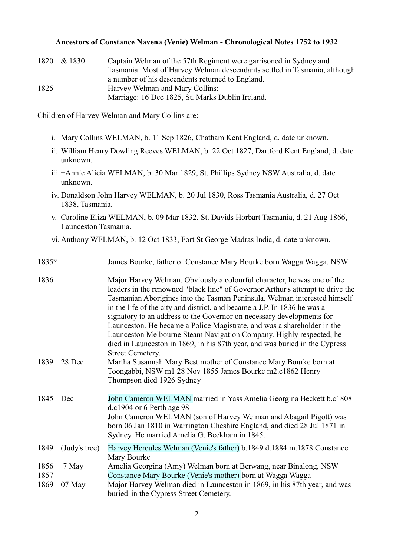## **Ancestors of Constance Navena (Venie) Welman - Chronological Notes 1752 to 1932**

| 1820 | & 1830 | Captain Welman of the 57th Regiment were garrisoned in Sydney and         |
|------|--------|---------------------------------------------------------------------------|
|      |        | Tasmania. Most of Harvey Welman descendants settled in Tasmania, although |
|      |        | a number of his descendents returned to England.                          |
| 1825 |        | Harvey Welman and Mary Collins:                                           |
|      |        | Marriage: 16 Dec 1825, St. Marks Dublin Ireland.                          |

Children of Harvey Welman and Mary Collins are:

- i. Mary Collins WELMAN, b. 11 Sep 1826, Chatham Kent England, d. date unknown.
- ii. William Henry Dowling Reeves WELMAN, b. 22 Oct 1827, Dartford Kent England, d. date unknown.
- iii.+Annie Alicia WELMAN, b. 30 Mar 1829, St. Phillips Sydney NSW Australia, d. date unknown.
- iv. Donaldson John Harvey WELMAN, b. 20 Jul 1830, Ross Tasmania Australia, d. 27 Oct 1838, Tasmania.
- v. Caroline Eliza WELMAN, b. 09 Mar 1832, St. Davids Horbart Tasmania, d. 21 Aug 1866, Launceston Tasmania.
- vi. Anthony WELMAN, b. 12 Oct 1833, Fort St George Madras India, d. date unknown.

| 1835? |  | James Bourke, father of Constance Mary Bourke born Wagga Wagga, NSW |
|-------|--|---------------------------------------------------------------------|
|       |  |                                                                     |

| 1836         |               | Major Harvey Welman. Obviously a colourful character, he was one of the<br>leaders in the renowned "black line" of Governor Arthur's attempt to drive the<br>Tasmanian Aborigines into the Tasman Peninsula. Welman interested himself<br>in the life of the city and district, and became a J.P. In 1836 he was a<br>signatory to an address to the Governor on necessary developments for<br>Launceston. He became a Police Magistrate, and was a shareholder in the<br>Launceston Melbourne Steam Navigation Company. Highly respected, he<br>died in Launceston in 1869, in his 87th year, and was buried in the Cypress<br><b>Street Cemetery.</b> |
|--------------|---------------|---------------------------------------------------------------------------------------------------------------------------------------------------------------------------------------------------------------------------------------------------------------------------------------------------------------------------------------------------------------------------------------------------------------------------------------------------------------------------------------------------------------------------------------------------------------------------------------------------------------------------------------------------------|
| 1839         | 28 Dec        | Martha Susannah Mary Best mother of Constance Mary Bourke born at<br>Toongabbi, NSW m1 28 Nov 1855 James Bourke m2.c1862 Henry<br>Thompson died 1926 Sydney                                                                                                                                                                                                                                                                                                                                                                                                                                                                                             |
| 1845         | Dec           | John Cameron WELMAN married in Yass Amelia Georgina Beckett b.c1808<br>$d.c1904$ or 6 Perth age 98<br>John Cameron WELMAN (son of Harvey Welman and Abagail Pigott) was<br>born 06 Jan 1810 in Warrington Cheshire England, and died 28 Jul 1871 in<br>Sydney. He married Amelia G. Beckham in 1845.                                                                                                                                                                                                                                                                                                                                                    |
| 1849         | (Judy's tree) | Harvey Hercules Welman (Venie's father) b.1849 d.1884 m.1878 Constance<br>Mary Bourke                                                                                                                                                                                                                                                                                                                                                                                                                                                                                                                                                                   |
| 1856<br>1857 | 7 May         | Amelia Georgina (Amy) Welman born at Berwang, near Binalong, NSW<br>Constance Mary Bourke (Venie's mother) born at Wagga Wagga                                                                                                                                                                                                                                                                                                                                                                                                                                                                                                                          |
| 1869         | $07$ May      | Major Harvey Welman died in Launceston in 1869, in his 87th year, and was<br>buried in the Cypress Street Cemetery.                                                                                                                                                                                                                                                                                                                                                                                                                                                                                                                                     |